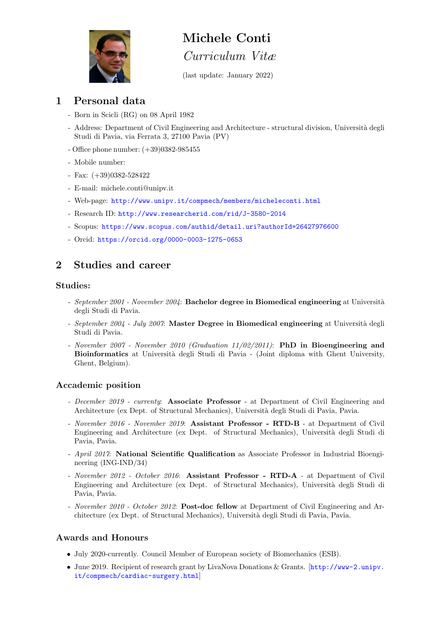

# Michele Conti

Curriculum Vitæ

(last update: January 2022)

# 1 Personal data

- Born in Scicli (RG) on 08 April 1982
- Address: Department of Civil Engineering and Architecture structural division, Università degli Studi di Pavia, via Ferrata 3, 27100 Pavia (PV)
- Office phone number: (+39)0382-985455
- Mobile number:
- Fax: (+39)0382-528422
- E-mail: michele.conti@unipv.it
- Web-page: <http://www.unipv.it/compmech/members/micheleconti.html>
- Research ID: <http://www.researcherid.com/rid/J-3580-2014>
- Scopus: <https://www.scopus.com/authid/detail.uri?authorId=26427976600>
- Orcid: <https://orcid.org/0000-0003-1275-0653>

# 2 Studies and career

### Studies:

- September 2001 November 2004: Bachelor degree in Biomedical engineering at Università degli Studi di Pavia.
- September 2004 July 2007: Master Degree in Biomedical engineering at Università degli Studi di Pavia.
- November 2007 November 2010 (Graduation 11/02/2011): **PhD in Bioengineering and** Bioinformatics at Università degli Studi di Pavia - (Joint diploma with Ghent University, Ghent, Belgium).

# Accademic position

- December 2019 currenty: Associate Professor at Department of Civil Engineering and Architecture (ex Dept. of Structural Mechanics), Universit`a degli Studi di Pavia, Pavia.
- November 2016 November 2019: Assistant Professor RTD-B at Department of Civil Engineering and Architecture (ex Dept. of Structural Mechanics), Universit`a degli Studi di Pavia, Pavia.
- April 2017: National Scientific Qualification as Associate Professor in Industrial Bioengineering (ING-IND/34)
- November 2012 October 2016: Assistant Professor RTD-A at Department of Civil Engineering and Architecture (ex Dept. of Structural Mechanics), Universit`a degli Studi di Pavia, Pavia.
- November 2010 October 2012: Post-doc fellow at Department of Civil Engineering and Architecture (ex Dept. of Structural Mechanics), Università degli Studi di Pavia, Pavia.

# Awards and Honours

- July 2020-currently. Council Member of European society of Biomechanics (ESB).
- June 2019. Recipient of research grant by LivaNova Donations & Grants. [[http://www-2.unipv.](http://www-2.unipv.it/compmech/cardiac-surgery.html) [it/compmech/cardiac-surgery.html](http://www-2.unipv.it/compmech/cardiac-surgery.html)]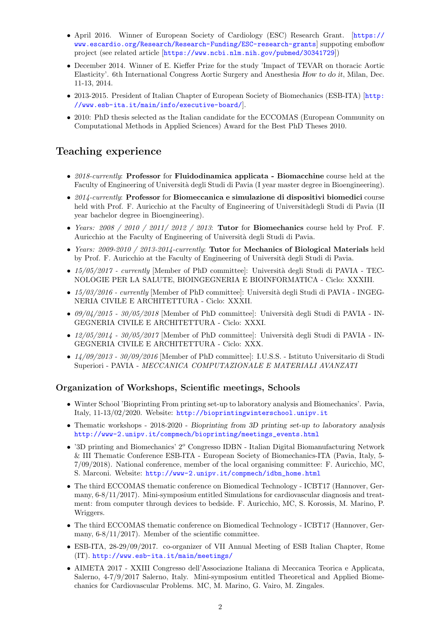- April 2016. Winner of European Society of Cardiology (ESC) Research Grant. [[https://](https://www.escardio.org/Research/Research-Funding/ESC-research-grants) [www.escardio.org/Research/Research-Funding/ESC-research-grants](https://www.escardio.org/Research/Research-Funding/ESC-research-grants)] suppoting emboflow project (see related article [<https://www.ncbi.nlm.nih.gov/pubmed/30341729>])
- December 2014. Winner of E. Kieffer Prize for the study 'Impact of TEVAR on thoracic Aortic Elasticity'. 6th International Congress Aortic Surgery and Anesthesia How to do it, Milan, Dec. 11-13, 2014.
- 2013-2015. President of Italian Chapter of European Society of Biomechanics (ESB-ITA) [[http:](http://www.esb-ita.it/main/info/executive-board/) [//www.esb-ita.it/main/info/executive-board/](http://www.esb-ita.it/main/info/executive-board/)].
- 2010: PhD thesis selected as the Italian candidate for the ECCOMAS (European Community on Computational Methods in Applied Sciences) Award for the Best PhD Theses 2010.

# Teaching experience

- 2018-currently: Professor for Fluidodinamica applicata Biomacchine course held at the Faculty of Engineering of Università degli Studi di Pavia (I year master degree in Bioengineering).
- 2014-currently: Professor for Biomeccanica e simulazione di dispositivi biomedici course held with Prof. F. Auricchio at the Faculty of Engineering of Universitàdegli Studi di Pavia (II year bachelor degree in Bioengineering).
- Years:  $2008 / 2010 / 2011 / 2012 / 2013$ : Tutor for Biomechanics course held by Prof. F. Auricchio at the Faculty of Engineering of Università degli Studi di Pavia.
- Years: 2009-2010 / 2013-2014-currently: Tutor for Mechanics of Biological Materials held by Prof. F. Auricchio at the Faculty of Engineering of Università degli Studi di Pavia.
- $15/05/2017$  currently [Member of PhD committee]: Università degli Studi di PAVIA TEC-NOLOGIE PER LA SALUTE, BIOINGEGNERIA E BIOINFORMATICA - Ciclo: XXXIII.
- 15/03/2016 currently [Member of PhD committee]: Università degli Studi di PAVIA INGEG-NERIA CIVILE E ARCHITETTURA - Ciclo: XXXII.
- $09/04/2015$   $30/05/2018$  [Member of PhD committee]: Università degli Studi di PAVIA IN-GEGNERIA CIVILE E ARCHITETTURA - Ciclo: XXXI.
- $12/05/2014$   $30/05/2017$  [Member of PhD committee]: Università degli Studi di PAVIA IN-GEGNERIA CIVILE E ARCHITETTURA - Ciclo: XXX.
- 14/09/2013 30/09/2016 [Member of PhD committee]: I.U.S.S. Istituto Universitario di Studi Superiori - PAVIA - MECCANICA COMPUTAZIONALE E MATERIALI AVANZATI

#### Organization of Workshops, Scientific meetings, Schools

- Winter School 'Bioprinting From printing set-up to laboratory analysis and Biomechanics'. Pavia, Italy, 11-13/02/2020. Website: <http://bioprintingwinterschool.unipv.it>
- Thematic workshops 2018-2020 Bioprinting from 3D printing set-up to laboratory analysis [http://www-2.unipv.it/compmech/bioprinting/meetings\\_events.html](http://www-2.unipv.it/compmech/bioprinting/meetings_events.html)
- '3D printing and Biomechanics'  $2^o$  Congresso IDBN Italian Digital Biomanufacturing Network & III Thematic Conference ESB-ITA - European Society of Biomechanics-ITA (Pavia, Italy, 5- 7/09/2018). National conference, member of the local organising committee: F. Auricchio, MC, S. Marconi. Website: [http://www-2.unipv.it/compmech/idbn\\_home.html](http://www-2.unipv.it/compmech/idbn_home.html)
- The third ECCOMAS thematic conference on Biomedical Technology ICBT17 (Hannover, Germany, 6-8/11/2017). Mini-symposium entitled Simulations for cardiovascular diagnosis and treatment: from computer through devices to bedside. F. Auricchio, MC, S. Korossis, M. Marino, P. Wriggers.
- The third ECCOMAS thematic conference on Biomedical Technology ICBT17 (Hannover, Germany,  $6-8/11/2017$ . Member of the scientific committee.
- ESB-ITA, 28-29/09/2017. co-organizer of VII Annual Meeting of ESB Italian Chapter, Rome (IT). <http://www.esb-ita.it/main/meetings/>
- AIMETA 2017 XXIII Congresso dell'Associazione Italiana di Meccanica Teorica e Applicata, Salerno, 4-7/9/2017 Salerno, Italy. Mini-symposium entitled Theoretical and Applied Biomechanics for Cardiovascular Problems. MC, M. Marino, G. Vairo, M. Zingales.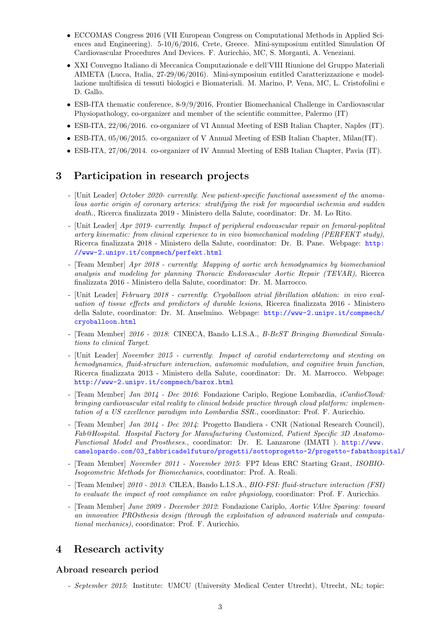- ECCOMAS Congress 2016 (VII European Congress on Computational Methods in Applied Sciences and Engineering). 5-10/6/2016, Crete, Greece. Mini-symposium entitled Simulation Of Cardiovascular Procedures And Devices. F. Auricchio, MC, S. Morganti, A. Veneziani.
- XXI Convegno Italiano di Meccanica Computazionale e dell'VIII Riunione del Gruppo Materiali AIMETA (Lucca, Italia, 27-29/06/2016). Mini-symposium entitled Caratterizzazione e modellazione multifisica di tessuti biologici e Biomateriali. M. Marino, P. Vena, MC, L. Cristofolini e D. Gallo.
- ESB-ITA thematic conference, 8-9/9/2016, Frontier Biomechanical Challenge in Cardiovascular Physiopathology, co-organizer and member of the scientific committee, Palermo (IT)
- ESB-ITA, 22/06/2016. co-organizer of VI Annual Meeting of ESB Italian Chapter, Naples (IT).
- ESB-ITA, 05/06/2015. co-organizer of V Annual Meeting of ESB Italian Chapter, Milan(IT).
- ESB-ITA, 27/06/2014. co-organizer of IV Annual Meeting of ESB Italian Chapter, Pavia (IT).

### 3 Participation in research projects

- [Unit Leader] October 2020- currently: New patient-specific functional assessment of the anomalous aortic origin of coronary arteries: stratifying the risk for myocardial ischemia and sudden death., Ricerca finalizzata 2019 - Ministero della Salute, coordinator: Dr. M. Lo Rito.
- [Unit Leader] Apr 2019- currently: Impact of peripheral endovascular repair on femoral-popliteal artery kinematic: from clinical experience to in vivo biomechanical modeling (PERFEKT study), Ricerca finalizzata 2018 - Ministero della Salute, coordinator: Dr. B. Pane. Webpage: [http:](http://www-2.unipv.it/compmech/perfekt.html) [//www-2.unipv.it/compmech/perfekt.html](http://www-2.unipv.it/compmech/perfekt.html)
- [Team Member] Apr 2018 currently: Mapping of aortic arch hemodynamics by biomechanical analysis and modeling for planning Thoracic Endovascular Aortic Repair (TEVAR), Ricerca finalizzata 2016 - Ministero della Salute, coordinator: Dr. M. Marrocco.
- [Unit Leader] February 2018 currently: Cryoballoon atrial fibrillation ablation: in vivo evaluation of tissue effects and predictors of durable lesions, Ricerca finalizzata 2016 - Ministero della Salute, coordinator: Dr. M. Anselmino. Webpage: [http://www-2.unipv.it/compmech/](http://www-2.unipv.it/compmech/cryoballoon.html) [cryoballoon.html](http://www-2.unipv.it/compmech/cryoballoon.html)
- [Team Member] 2016 2018: CINECA, Bando L.I.S.A., B-BeST Bringing Biomedical Simulations to clinical Target.
- [Unit Leader] November 2015 currently: Impact of carotid endarterectomy and stenting on hemodynamics, fluid-structure interaction, autonomic modulation, and cognitive brain function, Ricerca finalizzata 2013 - Ministero della Salute, coordinator: Dr. M. Marrocco. Webpage: <http://www-2.unipv.it/compmech/barox.html>
- [Team Member] Jan 2014 Dec 2016: Fondazione Cariplo, Regione Lombardia, iCardioCloud: bringing cardiovascular vital reality to clinical bedside practice through cloud platform: implementation of a US excellence paradigm into Lombardia SSR., coordinator: Prof. F. Auricchio.
- [Team Member] Jan 2014 Dec 2014: Progetto Bandiera CNR (National Research Council), Fab@Hospital. Hospital Factory for Manufacturing Customized, Patient Specific 3D Anatomo-Functional Model and Prostheses., coordinator: Dr. E. Lanzarone (IMATI ). [http://www.](http://www.camelopardo.com/03_fabbricadelfuturo/progetti/sottoprogetto-2/progetto-fabathospital/) [camelopardo.com/03\\_fabbricadelfuturo/progetti/sottoprogetto-2/progetto-fabathospital/](http://www.camelopardo.com/03_fabbricadelfuturo/progetti/sottoprogetto-2/progetto-fabathospital/)
- [Team Member] November 2011 November 2015: FP7 Ideas ERC Starting Grant, ISOBIO-Isogeometric Methods for Biomechanics, coordinator: Prof. A. Reali.
- [Team Member] 2010 2013: CILEA, Bando L.I.S.A., BIO-FSI: fluid-structure interaction (FSI) to evaluate the impact of root compliance on valve physiology, coordinator: Prof. F. Auricchio.
- [Team Member] June 2009 December 2012: Fondazione Cariplo, Aortic VAlve Sparing: toward an innovative PROsthesis design (through the exploitation of advanced materials and computational mechanics), coordinator: Prof. F. Auricchio.

# 4 Research activity

#### Abroad research period

- September 2015: Institute: UMCU (University Medical Center Utrecht), Utrecht, NL; topic: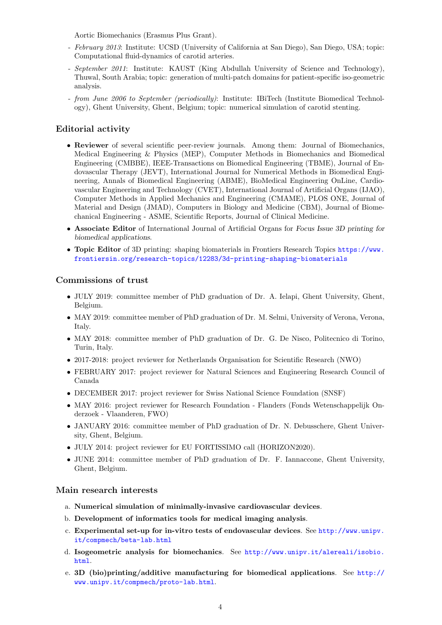Aortic Biomechanics (Erasmus Plus Grant).

- February 2013: Institute: UCSD (University of California at San Diego), San Diego, USA; topic: Computational fluid-dynamics of carotid arteries.
- September 2011: Institute: KAUST (King Abdullah University of Science and Technology), Thuwal, South Arabia; topic: generation of multi-patch domains for patient-specific iso-geometric analysis.
- from June 2006 to September (periodically): Institute: IBiTech (Institute Biomedical Technology), Ghent University, Ghent, Belgium; topic: numerical simulation of carotid stenting.

### Editorial activity

- Reviewer of several scientific peer-review journals. Among them: Journal of Biomechanics, Medical Engineering & Physics (MEP), Computer Methods in Biomechanics and Biomedical Engineering (CMBBE), IEEE-Transactions on Biomedical Engineering (TBME), Journal of Endovascular Therapy (JEVT), International Journal for Numerical Methods in Biomedical Engineering, Annals of Biomedical Engineering (ABME), BioMedical Engineering OnLine, Cardiovascular Engineering and Technology (CVET), International Journal of Artificial Organs (IJAO), Computer Methods in Applied Mechanics and Engineering (CMAME), PLOS ONE, Journal of Material and Design (JMAD), Computers in Biology and Medicine (CBM), Journal of Biomechanical Engineering - ASME, Scientific Reports, Journal of Clinical Medicine.
- Associate Editor of International Journal of Artificial Organs for Focus Issue 3D printing for biomedical applications.
- Topic Editor of 3D printing: shaping biomaterials in Frontiers Research Topics [https://www.](https://www.frontiersin.org/research-topics/12283/3d-printing-shaping-biomaterials) [frontiersin.org/research-topics/12283/3d-printing-shaping-biomaterials](https://www.frontiersin.org/research-topics/12283/3d-printing-shaping-biomaterials)

#### Commissions of trust

- JULY 2019: committee member of PhD graduation of Dr. A. Ielapi, Ghent University, Ghent, Belgium.
- MAY 2019: committee member of PhD graduation of Dr. M. Selmi, University of Verona, Verona, Italy.
- MAY 2018: committee member of PhD graduation of Dr. G. De Nisco, Politecnico di Torino, Turin, Italy.
- 2017-2018: project reviewer for Netherlands Organisation for Scientific Research (NWO)
- FEBRUARY 2017: project reviewer for Natural Sciences and Engineering Research Council of Canada
- DECEMBER 2017: project reviewer for Swiss National Science Foundation (SNSF)
- MAY 2016: project reviewer for Research Foundation Flanders (Fonds Wetenschappelijk Onderzoek - Vlaanderen, FWO)
- JANUARY 2016: committee member of PhD graduation of Dr. N. Debusschere, Ghent University, Ghent, Belgium.
- JULY 2014: project reviewer for EU FORTISSIMO call (HORIZON2020).
- JUNE 2014: committee member of PhD graduation of Dr. F. Iannaccone, Ghent University, Ghent, Belgium.

#### Main research interests

- a. Numerical simulation of minimally-invasive cardiovascular devices.
- b. Development of informatics tools for medical imaging analysis.
- c. Experimental set-up for in-vitro tests of endovascular devices. See [http://www.unipv.](http://www.unipv.it/compmech/beta-lab.html) [it/compmech/beta-lab.html](http://www.unipv.it/compmech/beta-lab.html)
- d. Isogeometric analysis for biomechanics. See [http://www.unipv.it/alereali/isobio.](http://www.unipv.it/alereali/isobio.html) [html](http://www.unipv.it/alereali/isobio.html).
- e. 3D (bio)printing/additive manufacturing for biomedical applications. See [http://](http://www.unipv.it/compmech/proto-lab.html) [www.unipv.it/compmech/proto-lab.html](http://www.unipv.it/compmech/proto-lab.html).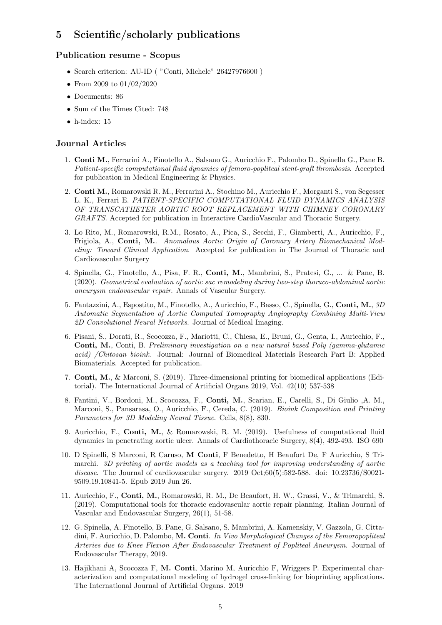# 5 Scientific/scholarly publications

### Publication resume - Scopus

- Search criterion: AU-ID ( "Conti, Michele" 26427976600 )
- From 2009 to 01/02/2020
- Documents: 86
- Sum of the Times Cited: 748
- $\bullet$  h-index: 15

#### Journal Articles

- 1. Conti M., Ferrarini A., Finotello A., Salsano G., Auricchio F., Palombo D., Spinella G., Pane B. Patient-specific computational fluid dynamics of femoro-popliteal stent-graft thrombosis. Accepted for publication in Medical Engineering & Physics.
- 2. Conti M., Romarowski R. M., Ferrarini A., Stochino M., Auricchio F., Morganti S., von Segesser L. K., Ferrari E. PATIENT-SPECIFIC COMPUTATIONAL FLUID DYNAMICS ANALYSIS OF TRANSCATHETER AORTIC ROOT REPLACEMENT WITH CHIMNEY CORONARY GRAFTS. Accepted for publication in Interactive CardioVascular and Thoracic Surgery.
- 3. Lo Rito, M., Romarowski, R.M., Rosato, A., Pica, S., Secchi, F., Giamberti, A., Auricchio, F., Frigiola, A., Conti, M.. Anomalous Aortic Origin of Coronary Artery Biomechanical Modeling: Toward Clinical Application. Accepted for publication in The Journal of Thoracic and Cardiovascular Surgery
- 4. Spinella, G., Finotello, A., Pisa, F. R., Conti, M., Mambrini, S., Pratesi, G., ... & Pane, B. (2020). Geometrical evaluation of aortic sac remodeling during two-step thoraco-abdominal aortic aneurysm endovascular repair. Annals of Vascular Surgery.
- 5. Fantazzini, A., Espostito, M., Finotello, A., Auricchio, F., Basso, C., Spinella, G., Conti, M., 3D Automatic Segmentation of Aortic Computed Tomography Angiography Combining Multi-View 2D Convolutional Neural Networks. Journal of Medical Imaging.
- 6. Pisani, S., Dorati, R., Scocozza, F., Mariotti, C., Chiesa, E., Bruni, G., Genta, I., Auricchio, F., Conti, M., Conti, B. Preliminary investigation on a new natural based Poly (gamma-glutamic acid) /Chitosan bioink. Journal: Journal of Biomedical Materials Research Part B: Applied Biomaterials. Accepted for publication.
- 7. Conti, M., & Marconi, S. (2019). Three-dimensional printing for biomedical applications (Editorial). The International Journal of Artificial Organs 2019, Vol. 42(10) 537-538
- 8. Fantini, V., Bordoni, M., Scocozza, F., Conti, M., Scarian, E., Carelli, S., Di Giulio ,A. M., Marconi, S., Pansarasa, O., Auricchio, F., Cereda, C. (2019). Bioink Composition and Printing Parameters for 3D Modeling Neural Tissue. Cells, 8(8), 830.
- 9. Auricchio, F., Conti, M., & Romarowski, R. M. (2019). Usefulness of computational fluid dynamics in penetrating aortic ulcer. Annals of Cardiothoracic Surgery, 8(4), 492-493. ISO 690
- 10. D Spinelli, S Marconi, R Caruso, M Conti, F Benedetto, H Beaufort De, F Auricchio, S Trimarchi. 3D printing of aortic models as a teaching tool for improving understanding of aortic disease. The Journal of cardiovascular surgery. 2019 Oct;60(5):582-588. doi: 10.23736/S0021-9509.19.10841-5. Epub 2019 Jun 26.
- 11. Auricchio, F., Conti, M., Romarowski, R. M., De Beaufort, H. W., Grassi, V., & Trimarchi, S. (2019). Computational tools for thoracic endovascular aortic repair planning. Italian Journal of Vascular and Endovascular Surgery, 26(1), 51-58.
- 12. G. Spinella, A. Finotello, B. Pane, G. Salsano, S. Mambrini, A. Kamenskiy, V. Gazzola, G. Cittadini, F. Auricchio, D. Palombo, M. Conti. In Vivo Morphological Changes of the Femoropopliteal Arteries due to Knee Flexion After Endovascular Treatment of Popliteal Aneurysm. Journal of Endovascular Therapy, 2019.
- 13. Hajikhani A, Scocozza F, M. Conti, Marino M, Auricchio F, Wriggers P. Experimental characterization and computational modeling of hydrogel cross-linking for bioprinting applications. The International Journal of Artificial Organs. 2019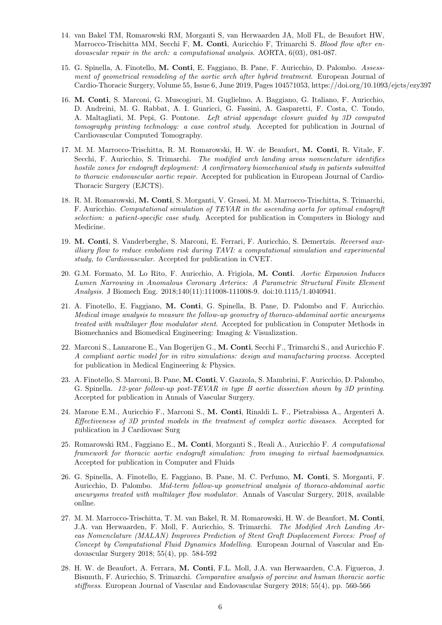- 14. van Bakel TM, Romarowski RM, Morganti S, van Herwaarden JA, Moll FL, de Beaufort HW, Marrocco-Trischitta MM, Secchi F, M. Conti, Auricchio F, Trimarchi S. Blood flow after endovascular repair in the arch: a computational analysis. AORTA, 6(03), 081-087.
- 15. G. Spinella, A. Finotello, M. Conti, E. Faggiano, B. Pane, F. Auricchio, D. Palombo. Assessment of geometrical remodeling of the aortic arch after hybrid treatment. European Journal of Cardio-Thoracic Surgery, Volume 55, Issue 6, June 2019, Pages 1045?1053, https://doi.org/10.1093/ejcts/ezy397
- 16. M. Conti, S. Marconi, G. Muscogiuri, M. Guglielmo, A. Baggiano, G. Italiano, F. Auricchio, D. Andreini, M. G. Rabbat, A. I. Guaricci, G. Fassini, A. Gasparetti, F. Costa, C. Tondo, A. Maltagliati, M. Pepi, G. Pontone. Left atrial appendage closure guided by 3D computed tomography printing technology: a case control study. Accepted for publication in Journal of Cardiovascular Computed Tomography.
- 17. M. M. Marrocco-Trischitta, R. M. Romarowski, H. W. de Beaufort, M. Conti, R. Vitale, F. Secchi, F. Auricchio, S. Trimarchi. The modified arch landing areas nomenclature identifies hostile zones for endograft deployment: A confirmatory biomechanical study in patients submitted to thoracic endovascular aortic repair. Accepted for publication in European Journal of Cardio-Thoracic Surgery (EJCTS).
- 18. R. M. Romarowski, M. Conti, S. Morganti, V. Grassi, M. M. Marrocco-Trischitta, S. Trimarchi, F. Auricchio. Computational simulation of TEVAR in the ascending aorta for optimal endograft selection: a patient-specific case study. Accepted for publication in Computers in Biology and Medicine.
- 19. M. Conti, S. Vanderberghe, S. Marconi, E. Ferrari, F. Auricchio, S. Demertzis. Reversed auxilliary flow to reduce embolism risk during TAVI: a computational simulation and experimental study, to Cardiovascular. Accepted for publication in CVET.
- 20. G.M. Formato, M. Lo Rito, F. Auricchio, A. Frigiola, M. Conti. Aortic Expansion Induces Lumen Narrowing in Anomalous Coronary Arteries: A Parametric Structural Finite Element Analysis. J Biomech Eng. 2018;140(11):111008-111008-9. doi:10.1115/1.4040941.
- 21. A. Finotello, E. Faggiano, M. Conti, G. Spinella, B. Pane, D. Palombo and F. Auricchio. Medical image analysis to measure the follow-up geometry of thoraco-abdominal aortic aneurysms treated with multilayer flow modulator stent. Accepted for publication in Computer Methods in Biomechanics and Biomedical Engineering: Imaging & Visualization.
- 22. Marconi S., Lanzarone E., Van Bogerijen G., M. Conti, Secchi F., Trimarchi S., and Auricchio F. A compliant aortic model for in vitro simulations: design and manufacturing process. Accepted for publication in Medical Engineering & Physics.
- 23. A. Finotello, S. Marconi, B. Pane, M. Conti, V. Gazzola, S. Mambrini, F. Auricchio, D. Palombo, G. Spinella. 12-year follow-up post-TEVAR in type B aortic dissection shown by 3D printing. Accepted for publication in Annals of Vascular Surgery.
- 24. Marone E.M., Auricchio F., Marconi S., M. Conti, Rinaldi L. F., Pietrabissa A., Argenteri A. Effectiveness of 3D printed models in the treatment of complex aortic diseases. Accepted for publication in J Cardiovasc Surg
- 25. Romarowski RM., Faggiano E., M. Conti, Morganti S., Reali A., Auricchio F. A computational framework for thoracic aortic endograft simulation: from imaging to virtual haemodynamics. Accepted for publication in Computer and Fluids
- 26. G. Spinella, A. Finotello, E. Faggiano, B. Pane, M. C. Perfumo, M. Conti, S. Morganti, F. Auricchio, D. Palombo. Mid-term follow-up geometrical analysis of thoraco-abdominal aortic aneurysms treated with multilayer flow modulator. Annals of Vascular Surgery, 2018, available onllne.
- 27. M. M. Marrocco-Trischitta, T. M. van Bakel, R. M. Romarowski, H. W. de Beaufort, M. Conti, J.A. van Herwaarden, F. Moll, F. Auricchio, S. Trimarchi. The Modified Arch Landing Areas Nomenclature (MALAN) Improves Prediction of Stent Graft Displacement Forces: Proof of Concept by Computational Fluid Dynamics Modelling. European Journal of Vascular and Endovascular Surgery 2018; 55(4), pp. 584-592
- 28. H. W. de Beaufort, A. Ferrara, M. Conti, F.L. Moll, J.A. van Herwaarden, C.A. Figueroa, J. Bismuth, F. Auricchio, S. Trimarchi. Comparative analysis of porcine and human thoracic aortic stiffness. European Journal of Vascular and Endovascular Surgery 2018; 55(4), pp. 560-566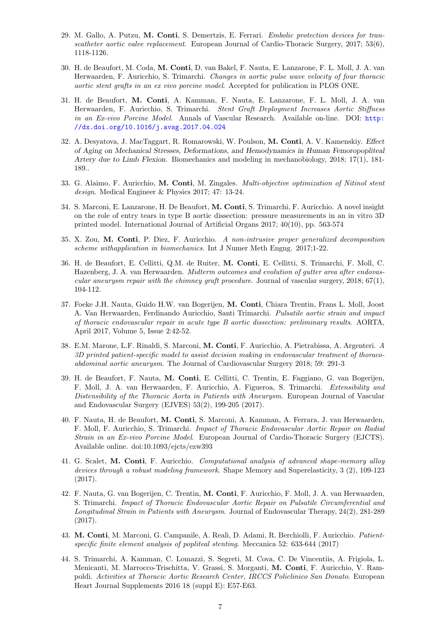- 29. M. Gallo, A. Putzu, M. Conti, S. Demertzis, E. Ferrari. Embolic protection devices for transcatheter aortic valve replacement. European Journal of Cardio-Thoracic Surgery, 2017; 53(6), 1118-1126.
- 30. H. de Beaufort, M. Coda, M. Conti, D. van Bakel, F. Nauta, E. Lanzarone, F. L. Moll, J. A. van Herwaarden, F. Auricchio, S. Trimarchi. Changes in aortic pulse wave velocity of four thoracic aortic stent grafts in an ex vivo porcine model. Accepted for publication in PLOS ONE.
- 31. H. de Beaufort, M. Conti, A. Kamman, F. Nauta, E. Lanzarone, F. L. Moll, J. A. van Herwaarden, F. Auricchio, S. Trimarchi. Stent Graft Deployment Increases Aortic Stiffness in an Ex-vivo Porcine Model. Annals of Vascular Research. Available on-line. DOI: [http:](http://dx.doi.org/10.1016/j.avsg.2017.04.024 ) [//dx.doi.org/10.1016/j.avsg.2017.04.024](http://dx.doi.org/10.1016/j.avsg.2017.04.024 )
- 32. A. Desyatova, J. MacTaggart, R. Romarowski, W. Poulson, M. Conti, A. V. Kamenskiy. Effect of Aging on Mechanical Stresses, Deformations, and Hemodynamics in Human Femoropopliteal Artery due to Limb Flexion. Biomechanics and modeling in mechanobiology, 2018; 17(1), 181- 189..
- 33. G. Alaimo, F. Auricchio, M. Conti, M. Zingales. Multi-objective optimization of Nitinol stent design. Medical Engineer & Physics 2017; 47: 13-24.
- 34. S. Marconi, E. Lanzarone, H. De Beaufort, M. Conti, S. Trimarchi, F. Auricchio. A novel insight on the role of entry tears in type B aortic dissection: pressure measurements in an in vitro 3D printed model. International Journal of Artificial Organs 2017; 40(10), pp. 563-574
- 35. X. Zou, M. Conti, P. Diez, F. Auricchio. A non-intrusive proper generalized decomposition scheme withapplication in biomechanics. Int J Numer Meth Engng. 2017;1-22.
- 36. H. de Beaufort, E. Cellitti, Q.M. de Ruiter, M. Conti, E. Cellitti, S. Trimarchi, F. Moll, C. Hazenberg, J. A. van Herwaarden. Midterm outcomes and evolution of gutter area after endovascular aneurysm repair with the chimney graft procedure. Journal of vascular surgery,  $2018$ ;  $67(1)$ , 104-112.
- 37. Foeke J.H. Nauta, Guido H.W. van Bogerijen, M. Conti, Chiara Trentin, Frans L. Moll, Joost A. Van Herwaarden, Ferdinando Auricchio, Santi Trimarchi. Pulsatile aortic strain and impact of thoracic endovascular repair in acute type B aortic dissection: preliminary results. AORTA, April 2017, Volume 5, Issue 2:42-52.
- 38. E.M. Marone, L.F. Rinaldi, S. Marconi, M. Conti, F. Auricchio, A. Pietrabissa, A. Argenteri. A 3D printed patient-specific model to assist decision making in endovascular treatment of thoracoabdominal aortic aneurysm. The Journal of Cardiovascular Surgery 2018; 59: 291-3
- 39. H. de Beaufort, F. Nauta, M. Conti, E. Cellitti, C. Trentin, E. Faggiano, G. van Bogerijen, F. Moll, J. A. van Herwaarden, F. Auricchio, A. Figueroa, S. Trimarchi. Extensibility and Distensibility of the Thoracic Aorta in Patients with Aneurysm. European Journal of Vascular and Endovascular Surgery (EJVES) 53(2), 199-205 (2017).
- 40. F. Nauta, H. de Beaufort, M. Conti, S. Marconi, A. Kamman, A. Ferrara, J. van Herwaarden, F. Moll, F. Auricchio, S. Trimarchi. Impact of Thoracic Endovascular Aortic Repair on Radial Strain in an Ex-vivo Porcine Model. European Journal of Cardio-Thoracic Surgery (EJCTS). Available online. doi:10.1093/ejcts/ezw393
- 41. G. Scalet, M. Conti, F. Auricchio. Computational analysis of advanced shape-memory alloy devices through a robust modeling framework. Shape Memory and Superelasticity, 3 (2), 109-123 (2017).
- 42. F. Nauta, G. van Bogerijen, C. Trentin, M. Conti, F. Auricchio, F. Moll, J. A. van Herwaarden, S. Trimarchi. Impact of Thoracic Endovascular Aortic Repair on Pulsatile Circumferential and Longitudinal Strain in Patients with Aneurysm. Journal of Endovascular Therapy, 24(2), 281-289 (2017).
- 43. M. Conti, M. Marconi, G. Campanile, A. Reali, D. Adami, R. Berchiolli, F. Auricchio. Patientspecific finite element analysis of popliteal stenting. Meccanica 52: 633-644 (2017)
- 44. S. Trimarchi, A. Kamman, C. Lomazzi, S. Segreti, M. Cova, C. De Vincentiis, A. Frigiola, L. Menicanti, M. Marrocco-Trischitta, V. Grassi, S. Morganti, M. Conti, F. Auricchio, V. Rampoldi. Activities at Thoracic Aortic Research Center, IRCCS Policlinico San Donato. European Heart Journal Supplements 2016 18 (suppl E): E57-E63.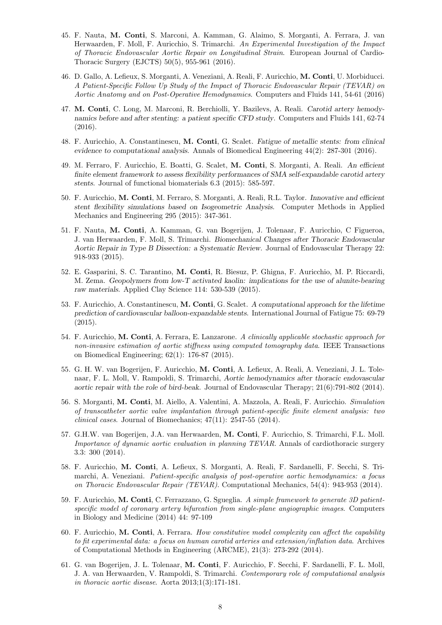- 45. F. Nauta, M. Conti, S. Marconi, A. Kamman, G. Alaimo, S. Morganti, A. Ferrara, J. van Herwaarden, F. Moll, F. Auricchio, S. Trimarchi. An Experimental Investigation of the Impact of Thoracic Endovascular Aortic Repair on Longitudinal Strain. European Journal of Cardio-Thoracic Surgery (EJCTS) 50(5), 955-961 (2016).
- 46. D. Gallo, A. Lefieux, S. Morganti, A. Veneziani, A. Reali, F. Auricchio, M. Conti, U. Morbiducci. A Patient-Specific Follow Up Study of the Impact of Thoracic Endovascular Repair (TEVAR) on Aortic Anatomy and on Post-Operative Hemodynamics. Computers and Fluids 141, 54-61 (2016)
- 47. M. Conti, C. Long, M. Marconi, R. Berchiolli, Y. Bazilevs, A. Reali. Carotid artery hemodynamics before and after stenting: a patient specific CFD study. Computers and Fluids 141, 62-74 (2016).
- 48. F. Auricchio, A. Constantinescu, M. Conti, G. Scalet. Fatigue of metallic stents: from clinical evidence to computational analysis. Annals of Biomedical Engineering 44(2): 287-301 (2016).
- 49. M. Ferraro, F. Auricchio, E. Boatti, G. Scalet, M. Conti, S. Morganti, A. Reali. An efficient finite element framework to assess flexibility performances of SMA self-expandable carotid artery stents. Journal of functional biomaterials 6.3 (2015): 585-597.
- 50. F. Auricchio, M. Conti, M. Ferraro, S. Morganti, A. Reali, R.L. Taylor. Innovative and efficient stent flexibility simulations based on Isogeometric Analysis. Computer Methods in Applied Mechanics and Engineering 295 (2015): 347-361.
- 51. F. Nauta, M. Conti, A. Kamman, G. van Bogerijen, J. Tolenaar, F. Auricchio, C Figueroa, J. van Herwaarden, F. Moll, S. Trimarchi. Biomechanical Changes after Thoracic Endovascular Aortic Repair in Type B Dissection: a Systematic Review. Journal of Endovascular Therapy 22: 918-933 (2015).
- 52. E. Gasparini, S. C. Tarantino, M. Conti, R. Biesuz, P. Ghigna, F. Auricchio, M. P. Riccardi, M. Zema. Geopolymers from low-T activated kaolin: implications for the use of alunite-bearing raw materials. Applied Clay Science 114: 530-539 (2015).
- 53. F. Auricchio, A. Constantinescu, M. Conti, G. Scalet. A computational approach for the lifetime prediction of cardiovascular balloon-expandable stents. International Journal of Fatigue 75: 69-79 (2015).
- 54. F. Auricchio, M. Conti, A. Ferrara, E. Lanzarone. A clinically applicable stochastic approach for non-invasive estimation of aortic stiffness using computed tomography data. IEEE Transactions on Biomedical Engineering; 62(1): 176-87 (2015).
- 55. G. H. W. van Bogerijen, F. Auricchio, M. Conti, A. Lefieux, A. Reali, A. Veneziani, J. L. Tolenaar, F. L. Moll, V. Rampoldi, S. Trimarchi, Aortic hemodynamics after thoracic endovascular aortic repair with the role of bird-beak. Journal of Endovascular Therapy; 21(6):791-802 (2014).
- 56. S. Morganti, M. Conti, M. Aiello, A. Valentini, A. Mazzola, A. Reali, F. Auricchio. Simulation of transcatheter aortic valve implantation through patient-specific finite element analysis: two *clinical cases.* Journal of Biomechanics;  $47(11)$ :  $2547-55$   $(2014)$ .
- 57. G.H.W. van Bogerijen, J.A. van Herwaarden, M. Conti, F. Auricchio, S. Trimarchi, F.L. Moll. Importance of dynamic aortic evaluation in planning TEVAR. Annals of cardiothoracic surgery 3.3: 300 (2014).
- 58. F. Auricchio, M. Conti, A. Lefieux, S. Morganti, A. Reali, F. Sardanelli, F. Secchi, S. Trimarchi, A. Veneziani. Patient-specific analysis of post-operative aortic hemodynamics: a focus on Thoracic Endovascular Repair (TEVAR). Computational Mechanics, 54(4): 943-953 (2014).
- 59. F. Auricchio, M. Conti, C. Ferrazzano, G. Sgueglia. A simple framework to generate 3D patientspecific model of coronary artery bifurcation from single-plane angiographic images. Computers in Biology and Medicine (2014) 44: 97-109
- 60. F. Auricchio, M. Conti, A. Ferrara. How constitutive model complexity can affect the capability to fit experimental data: a focus on human carotid arteries and extension/inflation data. Archives of Computational Methods in Engineering (ARCME), 21(3): 273-292 (2014).
- 61. G. van Bogerijen, J. L. Tolenaar, M. Conti, F. Auricchio, F. Secchi, F. Sardanelli, F. L. Moll, J. A. van Herwaarden, V. Rampoldi, S. Trimarchi. Contemporary role of computational analysis in thoracic aortic disease. Aorta 2013;1(3):171-181.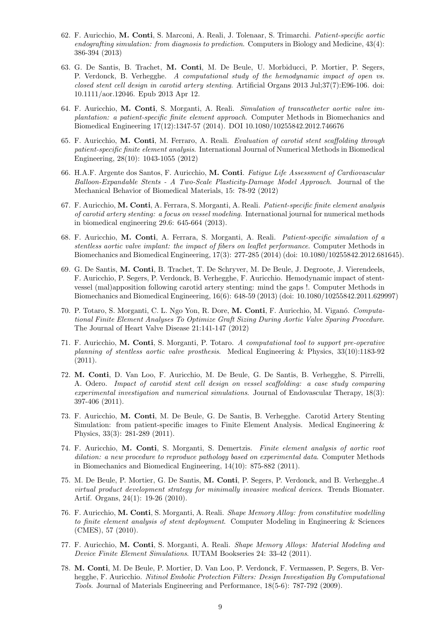- 62. F. Auricchio, M. Conti, S. Marconi, A. Reali, J. Tolenaar, S. Trimarchi. Patient-specific aortic endografting simulation: from diagnosis to prediction. Computers in Biology and Medicine, 43(4): 386-394 (2013)
- 63. G. De Santis, B. Trachet, M. Conti, M. De Beule, U. Morbiducci, P. Mortier, P. Segers, P. Verdonck, B. Verhegghe. A computational study of the hemodynamic impact of open vs. closed stent cell design in carotid artery stenting. Artificial Organs 2013 Jul;37(7):E96-106. doi: 10.1111/aor.12046. Epub 2013 Apr 12.
- 64. F. Auricchio, M. Conti, S. Morganti, A. Reali. Simulation of transcatheter aortic valve implantation: a patient-specific finite element approach. Computer Methods in Biomechanics and Biomedical Engineering 17(12):1347-57 (2014). DOI 10.1080/10255842.2012.746676
- 65. F. Auricchio, M. Conti, M. Ferraro, A. Reali. Evaluation of carotid stent scaffolding through patient-specific finite element analysis. International Journal of Numerical Methods in Biomedical Engineering, 28(10): 1043-1055 (2012)
- 66. H.A.F. Argente dos Santos, F. Auricchio, M. Conti. Fatigue Life Assessment of Cardiovascular Balloon-Expandable Stents - A Two-Scale Plasticity-Damage Model Approach. Journal of the Mechanical Behavior of Biomedical Materials, 15: 78-92 (2012)
- 67. F. Auricchio, M. Conti, A. Ferrara, S. Morganti, A. Reali. Patient-specific finite element analysis of carotid artery stenting: a focus on vessel modeling. International journal for numerical methods in biomedical engineering 29.6: 645-664 (2013).
- 68. F. Auricchio, M. Conti, A. Ferrara, S. Morganti, A. Reali. Patient-specific simulation of a stentless aortic valve implant: the impact of fibers on leaflet performance. Computer Methods in Biomechanics and Biomedical Engineering, 17(3): 277-285 (2014) (doi: 10.1080/10255842.2012.681645).
- 69. G. De Santis, M. Conti, B. Trachet, T. De Schryver, M. De Beule, J. Degroote, J. Vierendeels, F. Auricchio, P. Segers, P. Verdonck, B. Verhegghe, F. Auricchio. Hemodynamic impact of stentvessel (mal)apposition following carotid artery stenting: mind the gaps !. Computer Methods in Biomechanics and Biomedical Engineering, 16(6): 648-59 (2013) (doi: 10.1080/10255842.2011.629997)
- 70. P. Totaro, S. Morganti, C. L. Ngo Yon, R. Dore, M. Conti, F. Auricchio, M. Viganó. Computational Finite Element Analyses To Optimize Graft Sizing During Aortic Valve Sparing Procedure. The Journal of Heart Valve Disease 21:141-147 (2012)
- 71. F. Auricchio, M. Conti, S. Morganti, P. Totaro. A computational tool to support pre-operative planning of stentless aortic valve prosthesis. Medical Engineering & Physics, 33(10):1183-92 (2011).
- 72. M. Conti, D. Van Loo, F. Auricchio, M. De Beule, G. De Santis, B. Verhegghe, S. Pirrelli, A. Odero. Impact of carotid stent cell design on vessel scaffolding: a case study comparing experimental investigation and numerical simulations. Journal of Endovascular Therapy, 18(3): 397-406 (2011).
- 73. F. Auricchio, M. Conti, M. De Beule, G. De Santis, B. Verhegghe. Carotid Artery Stenting Simulation: from patient-specific images to Finite Element Analysis. Medical Engineering & Physics, 33(3): 281-289 (2011).
- 74. F. Auricchio, M. Conti, S. Morganti, S. Demertzis. Finite element analysis of aortic root dilation: a new procedure to reproduce pathology based on experimental data. Computer Methods in Biomechanics and Biomedical Engineering, 14(10): 875-882 (2011).
- 75. M. De Beule, P. Mortier, G. De Santis, M. Conti, P. Segers, P. Verdonck, and B. Verhegghe.A virtual product development strategy for minimally invasive medical devices. Trends Biomater. Artif. Organs, 24(1): 19-26 (2010).
- 76. F. Auricchio, M. Conti, S. Morganti, A. Reali. Shape Memory Alloy: from constitutive modelling to finite element analysis of stent deployment. Computer Modeling in Engineering & Sciences (CMES), 57 (2010).
- 77. F. Auricchio, M. Conti, S. Morganti, A. Reali. Shape Memory Alloys: Material Modeling and Device Finite Element Simulations. IUTAM Bookseries 24: 33-42 (2011).
- 78. M. Conti, M. De Beule, P. Mortier, D. Van Loo, P. Verdonck, F. Vermassen, P. Segers, B. Verhegghe, F. Auricchio. Nitinol Embolic Protection Filters: Design Investigation By Computational Tools. Journal of Materials Engineering and Performance, 18(5-6): 787-792 (2009).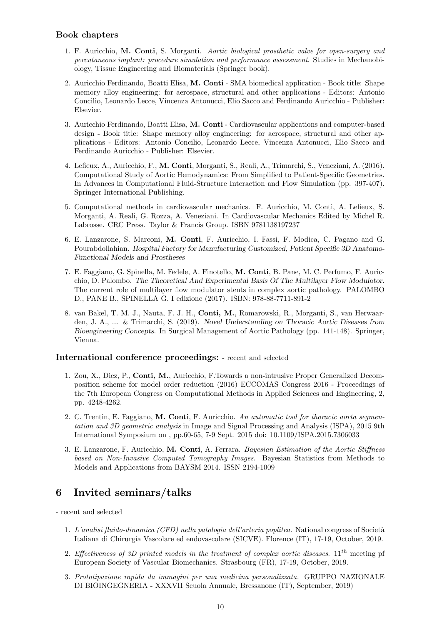### Book chapters

- 1. F. Auricchio, M. Conti, S. Morganti. Aortic biological prosthetic valve for open-surgery and percutaneous implant: procedure simulation and performance assessment. Studies in Mechanobiology, Tissue Engineering and Biomaterials (Springer book).
- 2. Auricchio Ferdinando, Boatti Elisa, M. Conti SMA biomedical application Book title: Shape memory alloy engineering: for aerospace, structural and other applications - Editors: Antonio Concilio, Leonardo Lecce, Vincenza Antonucci, Elio Sacco and Ferdinando Auricchio - Publisher: Elsevier.
- 3. Auricchio Ferdinando, Boatti Elisa, M. Conti Cardiovascular applications and computer-based design - Book title: Shape memory alloy engineering: for aerospace, structural and other applications - Editors: Antonio Concilio, Leonardo Lecce, Vincenza Antonucci, Elio Sacco and Ferdinando Auricchio - Publisher: Elsevier.
- 4. Lefieux, A., Auricchio, F., M. Conti, Morganti, S., Reali, A., Trimarchi, S., Veneziani, A. (2016). Computational Study of Aortic Hemodynamics: From Simplified to Patient-Specific Geometries. In Advances in Computational Fluid-Structure Interaction and Flow Simulation (pp. 397-407). Springer International Publishing.
- 5. Computational methods in cardiovascular mechanics. F. Auricchio, M. Conti, A. Lefieux, S. Morganti, A. Reali, G. Rozza, A. Veneziani. In Cardiovascular Mechanics Edited by Michel R. Labrosse. CRC Press. Taylor & Francis Group. ISBN 9781138197237
- 6. E. Lanzarone, S. Marconi, M. Conti, F. Auricchio, I. Fassi, F. Modica, C. Pagano and G. Pourabdollahian. Hospital Factory for Manufacturing Customized, Patient Specific 3D Anatomo-Functional Models and Prostheses
- 7. E. Faggiano, G. Spinella, M. Fedele, A. Finotello, M. Conti, B. Pane, M. C. Perfumo, F. Auricchio, D. Palombo. The Theoretical And Experimental Basis Of The Multilayer Flow Modulator. The current role of multilayer flow modulator stents in complex aortic pathology. PALOMBO D., PANE B., SPINELLA G. I edizione (2017). ISBN: 978-88-7711-891-2
- 8. van Bakel, T. M. J., Nauta, F. J. H., Conti, M., Romarowski, R., Morganti, S., van Herwaarden, J. A., ... & Trimarchi, S. (2019). Novel Understanding on Thoracic Aortic Diseases from Bioengineering Concepts. In Surgical Management of Aortic Pathology (pp. 141-148). Springer, Vienna.

### International conference proceedings: - recent and selected

- 1. Zou, X., Diez, P., Conti, M., Auricchio, F.Towards a non-intrusive Proper Generalized Decomposition scheme for model order reduction (2016) ECCOMAS Congress 2016 - Proceedings of the 7th European Congress on Computational Methods in Applied Sciences and Engineering, 2, pp. 4248-4262.
- 2. C. Trentin, E. Faggiano, M. Conti, F. Auricchio. An automatic tool for thoracic aorta segmentation and 3D geometric analysis in Image and Signal Processing and Analysis (ISPA), 2015 9th International Symposium on , pp.60-65, 7-9 Sept. 2015 doi: 10.1109/ISPA.2015.7306033
- 3. E. Lanzarone, F. Auricchio, M. Conti, A. Ferrara. Bayesian Estimation of the Aortic Stiffness based on Non-Invasive Computed Tomography Images. Bayesian Statistics from Methods to Models and Applications from BAYSM 2014. ISSN 2194-1009

# 6 Invited seminars/talks

- recent and selected

- 1. L'analisi fluido-dinamica (CFD) nella patologia dell'arteria poplitea. National congress of Società Italiana di Chirurgia Vascolare ed endovascolare (SICVE). Florence (IT), 17-19, October, 2019.
- 2. Effectiveness of 3D printed models in the treatment of complex aortic diseases.  $11^{th}$  meeting pf European Society of Vascular Biomechanics. Strasbourg (FR), 17-19, October, 2019.
- 3. Prototipazione rapida da immagini per una medicina personalizzata. GRUPPO NAZIONALE DI BIOINGEGNERIA - XXXVII Scuola Annuale, Bressanone (IT), September, 2019)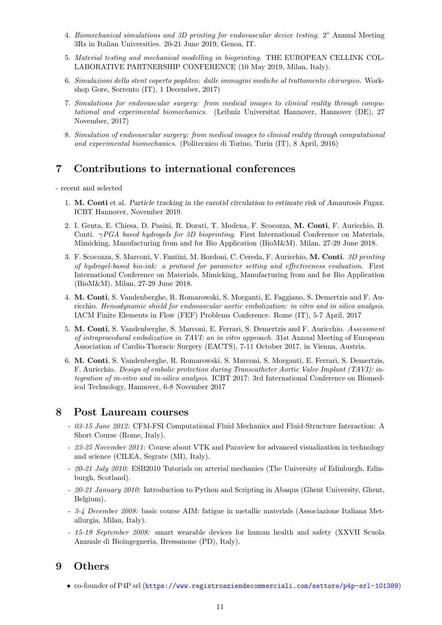- 4. Biomechanical simulations and 3D printing for endovascular device testing. 2° Annual Meeting 3Rs in Italian Universities. 20-21 June 2019, Genoa, IT.
- 5. Material testing and mechanical modelling in bioprinting. THE EUROPEAN CELLINK COL-LABORATIVE PARTNERSHIP CONFERENCE (10 May 2019, Milan, Italy).
- 6. Simulazioni dello stent coperto popliteo: dalle immagini mediche al trattamento chirurgico. Workshop Gore, Sorrento (IT), 1 December, 2017)
- 7. Simulations for endovascular surgery: from medical images to clinical reality through computational and experimental biomechanics. (Leibniz Universitat Hannover, Hannover (DE), 27 November, 2017)
- 8. Simulation of endovascular surgery: from medical images to clinical reality through computational and experimental biomechanics. (Politecnico di Torino, Turin (IT), 8 April, 2016)

# 7 Contributions to international conferences

- recent and selected

- 1. M. Conti et al. Particle tracking in the carotid circulation to estimate risk of Amaurosis Fugax. ICBT Hannover, November 2019.
- 2. I. Genta, E. Chiesa, D. Pasini, R. Dorati, T. Modena, F. Scocozza, M. Conti, F. Auricchio, B. Conti.  $\gamma PGA$  based hydrogels for 3D bioprinting. First International Conference on Materials, Mimicking, Manufacturing from and for Bio Application (BioM&M). Milan, 27-29 June 2018.
- 3. F. Scocozza, S. Marconi, V. Fantini, M. Bordoni, C. Cereda, F. Auricchio, M. Conti. 3D printing of hydrogel-based bio-ink: a protocol for parameter setting and effectiveness evaluation. First International Conference on Materials, Mimicking, Manufacturing from and for Bio Application (BioM&M). Milan, 27-29 June 2018.
- 4. M. Conti, S. Vandenberghe, R. Romarowski, S. Morganti, E. Faggiano, S. Demertzis and F. Auricchio. Hemodynamic shield for endovascular aortic embolization: in vitro and in silico analysis. IACM Finite Elements in Flow (FEF) Problems Conference. Rome (IT), 5-7 April, 2017
- 5. M. Conti, S. Vandenberghe, S. Marconi, E. Ferrari, S. Demertzis and F. Auricchio. Assessment of intraprocedural embolization in TAVI: an in vitro approach. 31st Annual Meeting of European Association of Cardio-Thoracic Surgery (EACTS), 7-11 October 2017, in Vienna, Austria.
- 6. M. Conti, S. Vandenberghe, R. Romarowski, S. Marconi, S. Morganti, E. Ferrari, S. Demertzis, F. Auricchio. Design of embolic protection during Transcatheter Aortic Valve Implant (TAVI): integration of in-vitro and in-silico analysis. ICBT 2017: 3rd International Conference on Biomedical Technology, Hannover, 6-8 November 2017

# 8 Post Lauream courses

- 03-15 June 2012: CFM-FSI Computational Fluid Mechanics and Fluid-Structure Interaction: A Short Course (Rome, Italy).
- 23-25 November 2011: Course about VTK and Paraview for advanced visualization in technology and science (CILEA, Segrate (MI), Italy).
- 20-21 July 2010: ESB2010 Tutorials on arterial mechanics (The University of Edinburgh, Edinburgh, Scotland).
- 20-21 January 2010: Introduction to Python and Scripting in Abaqus (Ghent University, Ghent, Belgium).
- 3-4 December 2008: basic course AIM: fatigue in metallic materials (Associazione Italiana Metallurgia, Milan, Italy).
- 15-19 September 2008: smart wearable devices for human health and safety (XXVII Scuola Annuale di Bioingegneria, Bressanone (PD), Italy).

# 9 Others

• co-founder of P4P srl (<https://www.registroaziendecommerciali.com/settore/p4p-srl-101389>)